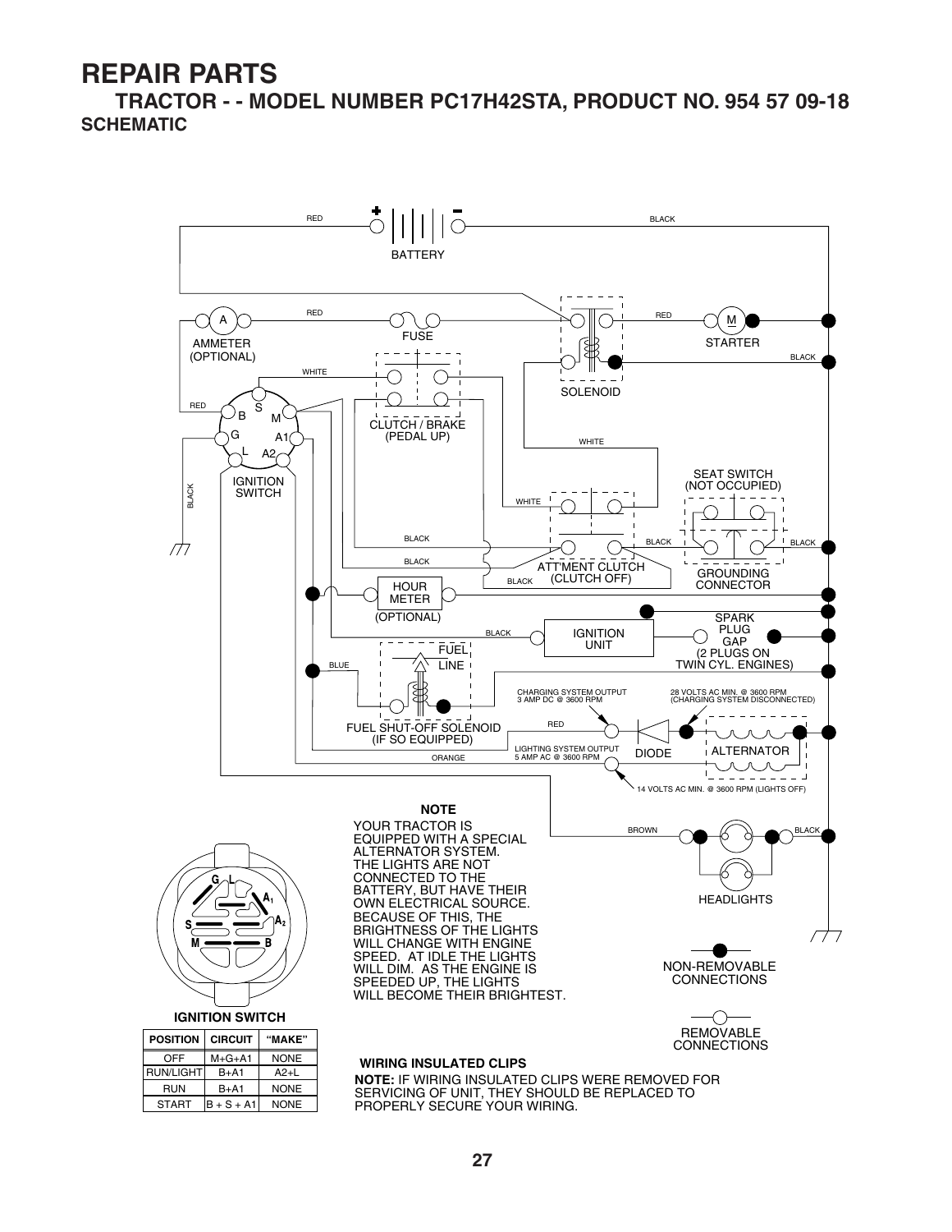**TRACTOR - - MODEL NUMBER PC17H42STA, PRODUCT NO. 954 57 09-18 SCHEMATIC**

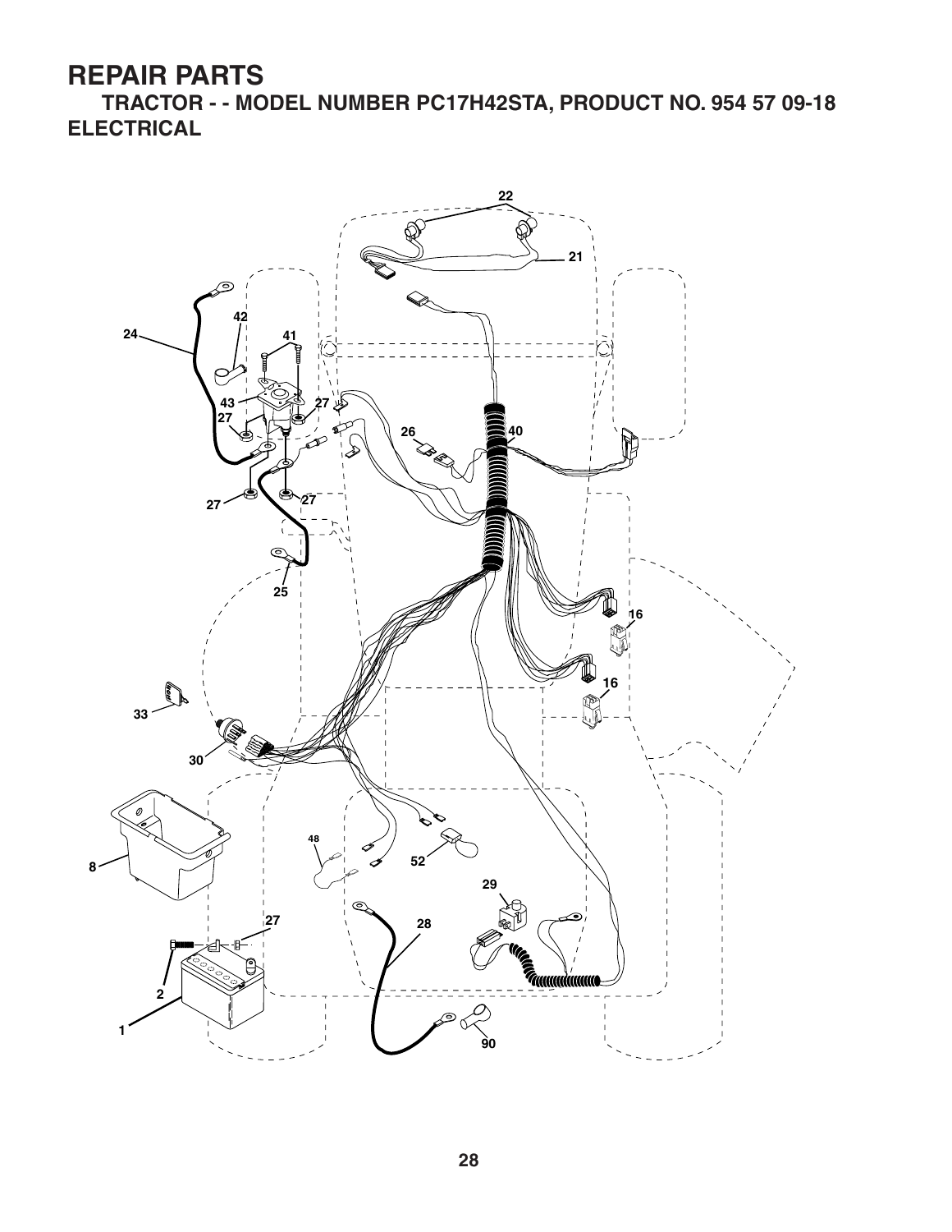**TRACTOR - - MODEL NUMBER PC17H42STA, PRODUCT NO. 954 57 09-18 ELECTRICAL**

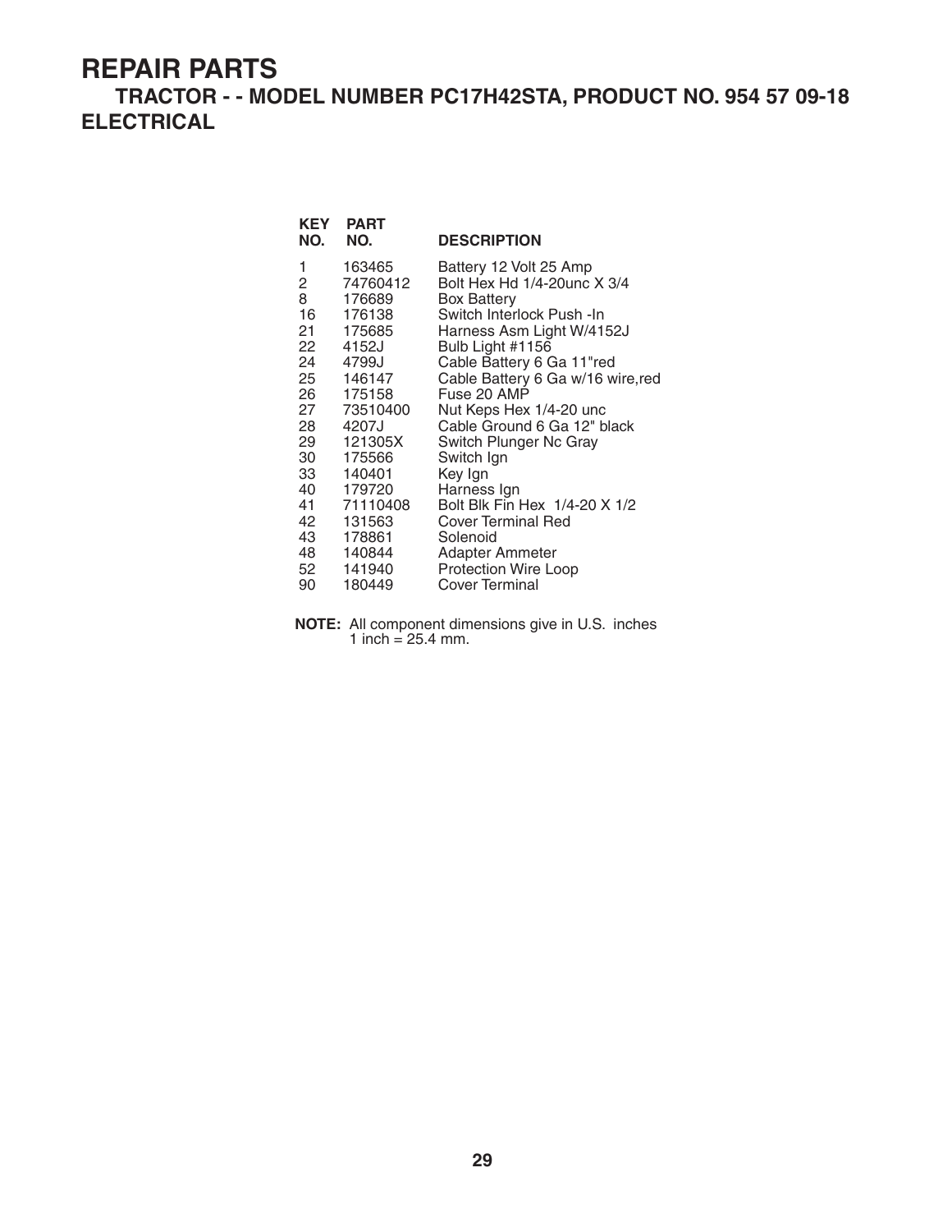**TRACTOR - - MODEL NUMBER PC17H42STA, PRODUCT NO. 954 57 09-18 ELECTRICAL**

| KEY<br>NO.               | <b>PART</b><br>NO.           | <b>DESCRIPTION</b>                                                          |
|--------------------------|------------------------------|-----------------------------------------------------------------------------|
| 1<br>$\mathbf{2}^-$<br>8 | 163465<br>74760412<br>176689 | Battery 12 Volt 25 Amp<br>Bolt Hex Hd 1/4-20unc X 3/4<br><b>Box Battery</b> |
| 16                       | 176138                       | Switch Interlock Push -In                                                   |
|                          | 21 175685                    | Harness Asm Light W/4152J                                                   |
| 22<br>24                 | 4152J<br>4799J               | Bulb Light #1156<br>Cable Battery 6 Ga 11"red                               |
|                          | 25 146147                    | Cable Battery 6 Ga w/16 wire, red                                           |
|                          | 26 175158                    | Fuse 20 AMP                                                                 |
|                          | 27 73510400                  | Nut Keps Hex 1/4-20 unc                                                     |
| 28                       | 4207J                        | Cable Ground 6 Ga 12" black                                                 |
|                          | 29 121305X                   | Switch Plunger Nc Gray                                                      |
| 30                       | 175566                       | Switch Ign                                                                  |
|                          | 33 140401                    | Key Ign                                                                     |
| 40                       | 179720                       | Harness Ign                                                                 |
| 41                       | 71110408                     | Bolt Blk Fin Hex 1/4-20 X 1/2                                               |
| 42                       | 131563                       | <b>Cover Terminal Red</b>                                                   |
|                          | 43 178861                    | Solenoid                                                                    |
|                          | 48 140844                    | Adapter Ammeter                                                             |
|                          | 52 141940                    | Protection Wire Loop                                                        |
| 90                       | 180449                       | Cover Terminal                                                              |

**NOTE:** All component dimensions give in U.S. inches 1 inch =  $25.4$  mm.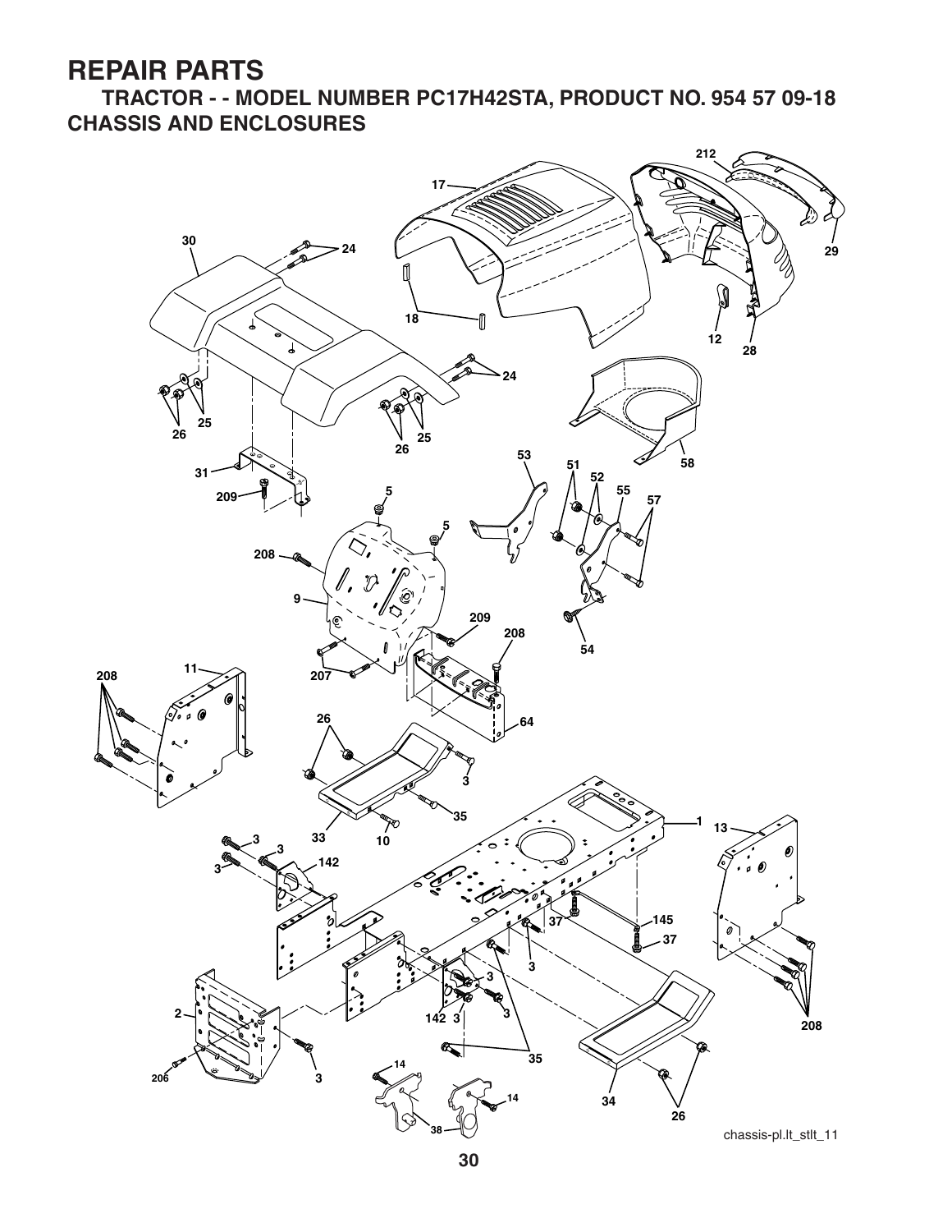**TRACTOR - - MODEL NUMBER PC17H42STA, PRODUCT NO. 954 57 09-18 CHASSIS AND ENCLOSURES**

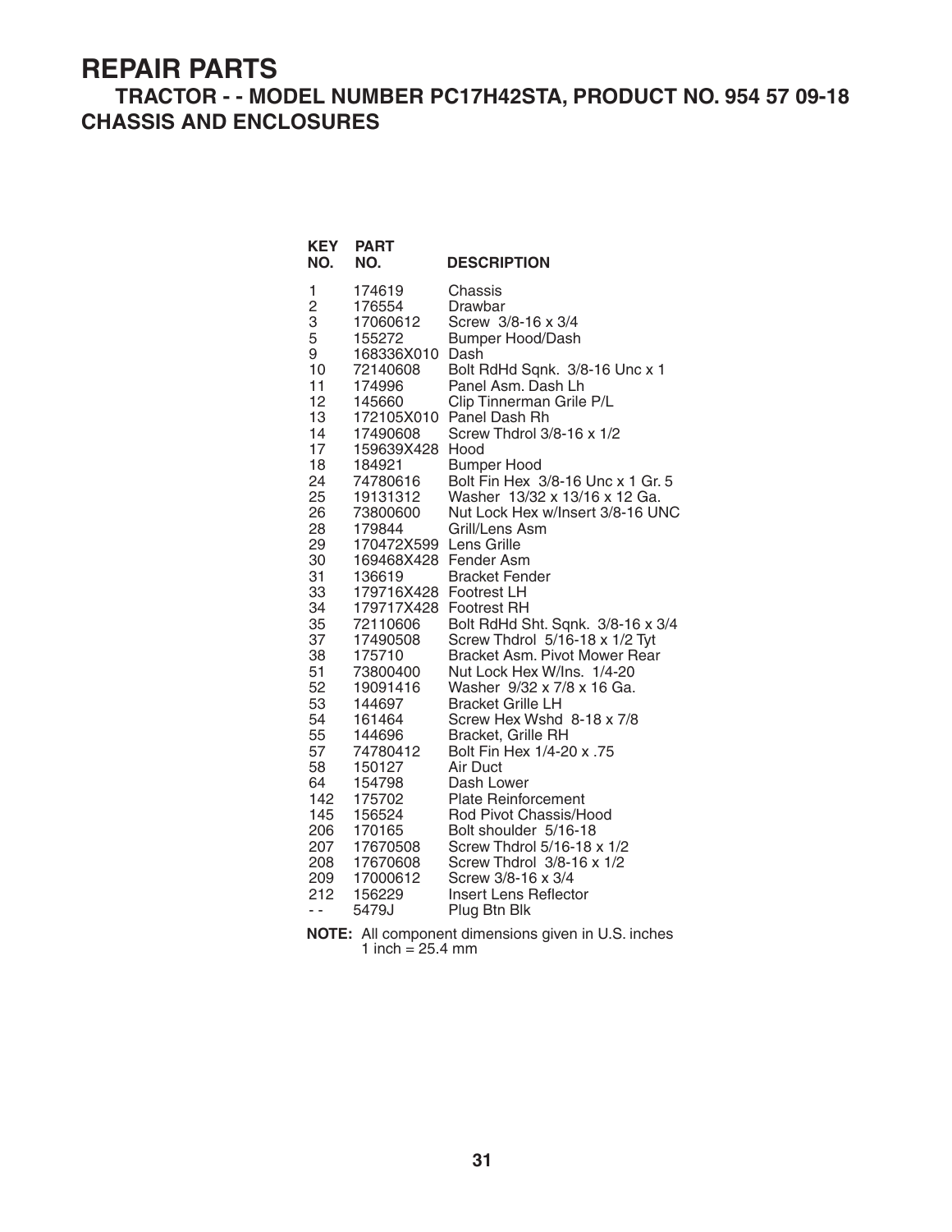#### **TRACTOR - - MODEL NUMBER PC17H42STA, PRODUCT NO. 954 57 09-18 CHASSIS AND ENCLOSURES**

| <b>KEY</b><br>NO.                                                                                                                                                                                                                               | <b>PART</b><br>NO.                                                                                                                                                                                                                                                                                                                                                                                                                                                              | <b>DESCRIPTION</b>                                                                                                                                                                                                                                                                                                                                                                                                                                                                                                                                                                                                                                                                                                                                                                                                                                                                                                                                                       |
|-------------------------------------------------------------------------------------------------------------------------------------------------------------------------------------------------------------------------------------------------|---------------------------------------------------------------------------------------------------------------------------------------------------------------------------------------------------------------------------------------------------------------------------------------------------------------------------------------------------------------------------------------------------------------------------------------------------------------------------------|--------------------------------------------------------------------------------------------------------------------------------------------------------------------------------------------------------------------------------------------------------------------------------------------------------------------------------------------------------------------------------------------------------------------------------------------------------------------------------------------------------------------------------------------------------------------------------------------------------------------------------------------------------------------------------------------------------------------------------------------------------------------------------------------------------------------------------------------------------------------------------------------------------------------------------------------------------------------------|
| 1<br>2<br>3<br>5<br>9<br>10<br>11<br>12<br>13<br>14<br>17<br>18<br>24<br>25<br>26<br>28<br>29<br>30<br>31<br>33<br>34<br>35<br>37<br>38<br>51<br>52<br>53<br>54<br>55<br>57<br>58<br>64<br>142<br>145<br>206<br>207<br>208<br>209<br>212<br>- - | 174619<br>176554<br>17060612<br>155272<br>168336X010<br>72140608<br>174996<br>145660<br>172105X010<br>17490608<br>159639X428<br>184921<br>74780616<br>19131312<br>73800600<br>179844<br>170472X599<br>169468X428<br>136619<br>179716X428 Footrest LH<br>179717X428<br>72110606<br>17490508<br>175710<br>73800400<br>19091416<br>144697<br>161464<br>144696<br>74780412<br>150127<br>154798<br>175702<br>156524<br>170165<br>17670508<br>17670608<br>17000612<br>156229<br>5479J | Chassis<br>Drawbar<br>Screw 3/8-16 x 3/4<br><b>Bumper Hood/Dash</b><br>Dash<br>Bolt RdHd Sqnk. 3/8-16 Unc x 1<br>Panel Asm. Dash Lh<br>Clip Tinnerman Grile P/L<br>Panel Dash Rh<br>Screw Thdrol 3/8-16 x 1/2<br>Hood<br><b>Bumper Hood</b><br>Bolt Fin Hex 3/8-16 Unc x 1 Gr. 5<br>Washer 13/32 x 13/16 x 12 Ga.<br>Nut Lock Hex w/Insert 3/8-16 UNC<br>Grill/Lens Asm<br>Lens Grille<br>Fender Asm<br><b>Bracket Fender</b><br><b>Footrest RH</b><br>Bolt RdHd Sht. Sqnk. 3/8-16 x 3/4<br>Screw Thdrol 5/16-18 x 1/2 Tyt<br>Bracket Asm. Pivot Mower Rear<br>Nut Lock Hex W/Ins. 1/4-20<br>Washer 9/32 x 7/8 x 16 Ga.<br><b>Bracket Grille LH</b><br>Screw Hex Wshd 8-18 x 7/8<br>Bracket, Grille RH<br>Bolt Fin Hex 1/4-20 x .75<br>Air Duct<br>Dash Lower<br><b>Plate Reinforcement</b><br>Rod Pivot Chassis/Hood<br>Bolt shoulder 5/16-18<br>Screw Thdrol 5/16-18 x 1/2<br>Screw Thdrol 3/8-16 x 1/2<br>Screw 3/8-16 x 3/4<br>Insert Lens Reflector<br>Plug Btn Blk |

**NOTE:** All component dimensions given in U.S. inches 1 inch  $= 25.4$  mm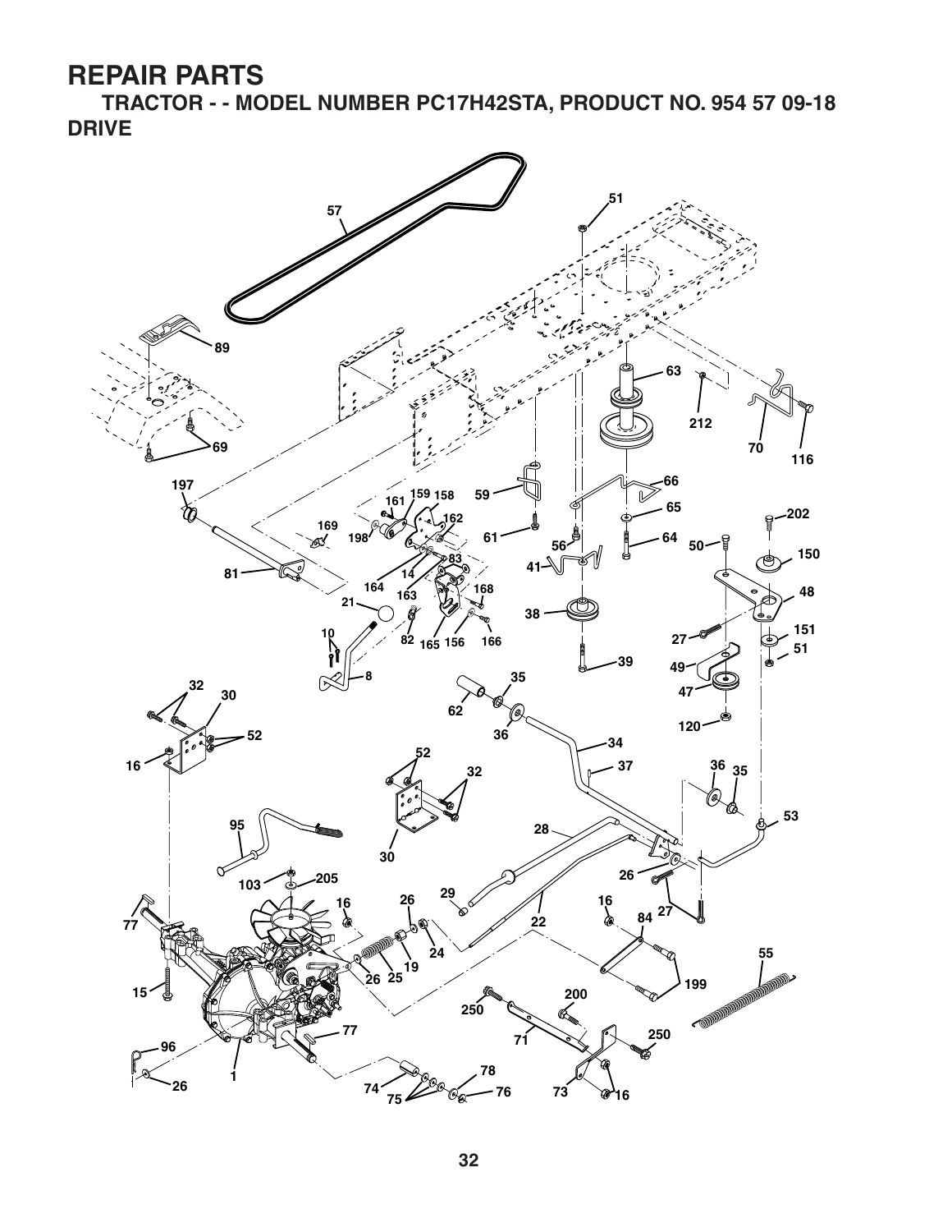**TRACTOR - - MODEL NUMBER PC17H42STA, PRODUCT NO. 954 57 09-18 DRIVE**

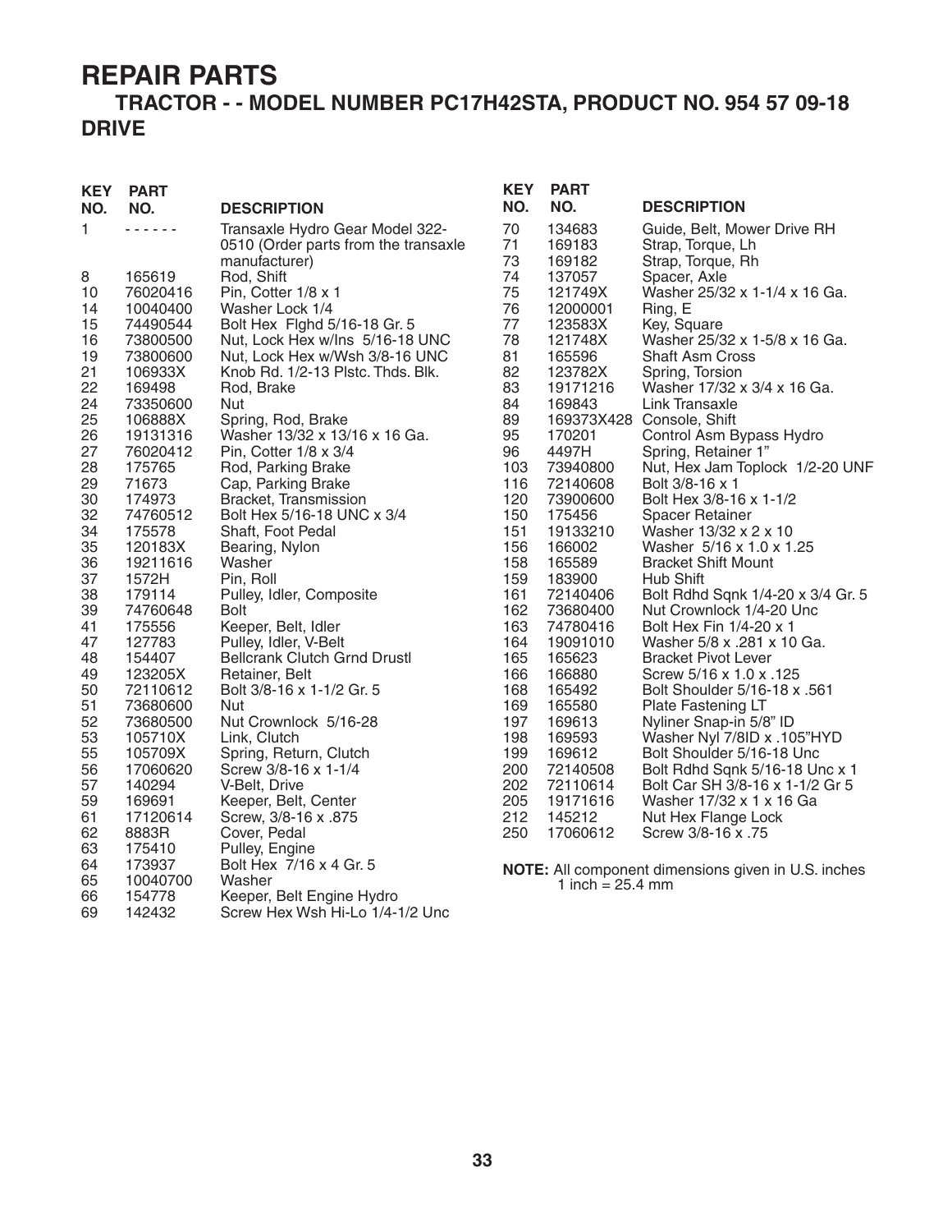#### **TRACTOR - - MODEL NUMBER PC17H42STA, PRODUCT NO. 954 57 09-18 DRIVE**

| KEY<br>NO. | <b>PART</b><br>NO. | <b>DESCRIPTION</b>                                  | <b>KE</b><br>NO. |
|------------|--------------------|-----------------------------------------------------|------------------|
| 1          |                    | Transaxle Hydro Gear Model 322-                     | 70               |
|            |                    | 0510 (Order parts from the transaxle                | 71               |
|            |                    | manufacturer)                                       | 73               |
| 8          | 165619             | Rod, Shift                                          | 74               |
| 10         | 76020416           | Pin, Cotter 1/8 x 1                                 | 75               |
| 14         | 10040400           | Washer Lock 1/4                                     | 76               |
| 15         | 74490544           | Bolt Hex Fighd 5/16-18 Gr. 5                        | 77               |
| 16         | 73800500           | Nut, Lock Hex w/Ins 5/16-18 UNC                     | 78               |
| 19         | 73800600           | Nut, Lock Hex w/Wsh 3/8-16 UNC                      | 81               |
| 21         | 106933X            | Knob Rd. 1/2-13 Plstc. Thds. Blk.                   | 82               |
| 22         | 169498             | Rod, Brake                                          | 83               |
| 24         | 73350600           | Nut                                                 | 84               |
| 25         | 106888X            | Spring, Rod, Brake                                  | 89               |
| 26         | 19131316           | Washer 13/32 x 13/16 x 16 Ga.                       | 95               |
| 27         | 76020412           | Pin, Cotter $1/8 \times 3/4$                        | 96               |
| 28         | 175765             | Rod, Parking Brake                                  | 103              |
| 29         | 71673              | Cap, Parking Brake                                  | 116<br>120       |
| 30<br>32   | 174973<br>74760512 | Bracket, Transmission<br>Bolt Hex 5/16-18 UNC x 3/4 | 150              |
| 34         | 175578             | Shaft, Foot Pedal                                   | 151              |
| 35         | 120183X            | Bearing, Nylon                                      | 156              |
| 36         | 19211616           | Washer                                              | 158              |
| 37         | 1572H              | Pin, Roll                                           | 159              |
| 38         | 179114             | Pulley, Idler, Composite                            | 161              |
| 39         | 74760648           | Bolt                                                | 162              |
| 41         | 175556             | Keeper, Belt, Idler                                 | 163              |
| 47         | 127783             | Pulley, Idler, V-Belt                               | 164              |
| 48         | 154407             | <b>Bellcrank Clutch Grnd Drustl</b>                 | 165              |
| 49         | 123205X            | Retainer, Belt                                      | 166              |
| 50         | 72110612           | Bolt 3/8-16 x 1-1/2 Gr. 5                           | 168              |
| 51         | 73680600           | Nut                                                 | 169              |
| 52         | 73680500           | Nut Crownlock 5/16-28                               | 197              |
| 53         | 105710X            | Link, Clutch                                        | 198              |
| 55         | 105709X            | Spring, Return, Clutch                              | 199              |
| 56         | 17060620           | Screw 3/8-16 x 1-1/4                                | 200              |
| 57         | 140294             | V-Belt, Drive                                       | 202              |
| 59         | 169691             | Keeper, Belt, Center                                | 205              |
| 61         | 17120614           | Screw, 3/8-16 x .875                                | 212              |
| 62         | 8883R              | Cover, Pedal                                        | 250              |
| 63         | 175410             | Pulley, Engine                                      |                  |
| 64         | 173937             | Bolt Hex 7/16 x 4 Gr. 5                             | NO <sub>1</sub>  |
| 65         | 10040700           | Washer                                              |                  |
| 66         | 154778             | Keeper, Belt Engine Hydro                           |                  |
| 69         | 142432             | Screw Hex Wsh Hi-Lo 1/4-1/2 Unc                     |                  |

| KEY<br>NO. | <b>PART</b><br>NO. | <b>DESCRIPTION</b>                  |
|------------|--------------------|-------------------------------------|
| 70         | 134683             | Guide, Belt, Mower Drive RH         |
| 71         | 169183             | Strap, Torque, Lh                   |
| 73         | 169182             | Strap, Torque, Rh                   |
| 74         | 137057             | Spacer, Axle                        |
| 75         | 121749X            | Washer 25/32 x 1-1/4 x 16 Ga.       |
| 76         | 12000001           | Ring, E                             |
| 77         | 123583X            | Key, Square                         |
| 78         | 121748X            | Washer 25/32 x 1-5/8 x 16 Ga.       |
| 81         | 165596             | <b>Shaft Asm Cross</b>              |
| 82         | 123782X            | Spring, Torsion                     |
| 83         | 19171216           | Washer 17/32 x 3/4 x 16 Ga.         |
| 84         | 169843             | <b>Link Transaxle</b>               |
| 89         | 169373X428         | Console, Shift                      |
| 95         | 170201             | Control Asm Bypass Hydro            |
| 96         | 4497H              | Spring, Retainer 1"                 |
| 103        | 73940800           | Nut, Hex Jam Toplock 1/2-20 UNF     |
| 116        | 72140608           | Bolt 3/8-16 x 1                     |
| 120        | 73900600           | Bolt Hex 3/8-16 x 1-1/2             |
| 150        | 175456             | <b>Spacer Retainer</b>              |
| 151        | 19133210           | Washer 13/32 x 2 x 10               |
| 156        | 166002             | Washer 5/16 x 1.0 x 1.25            |
| 158        | 165589             | <b>Bracket Shift Mount</b>          |
| 159        | 183900             | Hub Shift                           |
| 161        | 72140406           | Bolt Rdhd Sqnk 1/4-20 x 3/4 Gr. 5   |
| 162        | 73680400           | Nut Crownlock 1/4-20 Unc            |
| 163        | 74780416           | Bolt Hex Fin 1/4-20 x 1             |
| 164        | 19091010           | Washer 5/8 x .281 x 10 Ga.          |
| 165        | 165623             | <b>Bracket Pivot Lever</b>          |
| 166        | 166880             | Screw 5/16 x 1.0 x .125             |
| 168        | 165492             | <b>Bolt Shoulder 5/16-18 x .561</b> |
| 169        | 165580             | Plate Fastening LT                  |
| 197        | 169613             | Nyliner Snap-in 5/8" ID             |
| 198        | 169593             | Washer Nyl 7/8ID x .105"HYD         |
| 199        | 169612             | Bolt Shoulder 5/16-18 Unc           |
| 200        | 72140508           | Bolt Rdhd Sqnk 5/16-18 Unc x 1      |
| 202        | 72110614           | Bolt Car SH 3/8-16 x 1-1/2 Gr 5     |
| 205        | 19171616           | Washer 17/32 x 1 x 16 Ga            |
| 212        | 145212             | Nut Hex Flange Lock                 |
| 250        | 17060612           | Screw 3/8-16 x .75                  |

**NOTE:** All component dimensions given in U.S. inches 1 inch =  $25.4 \, \text{mm}$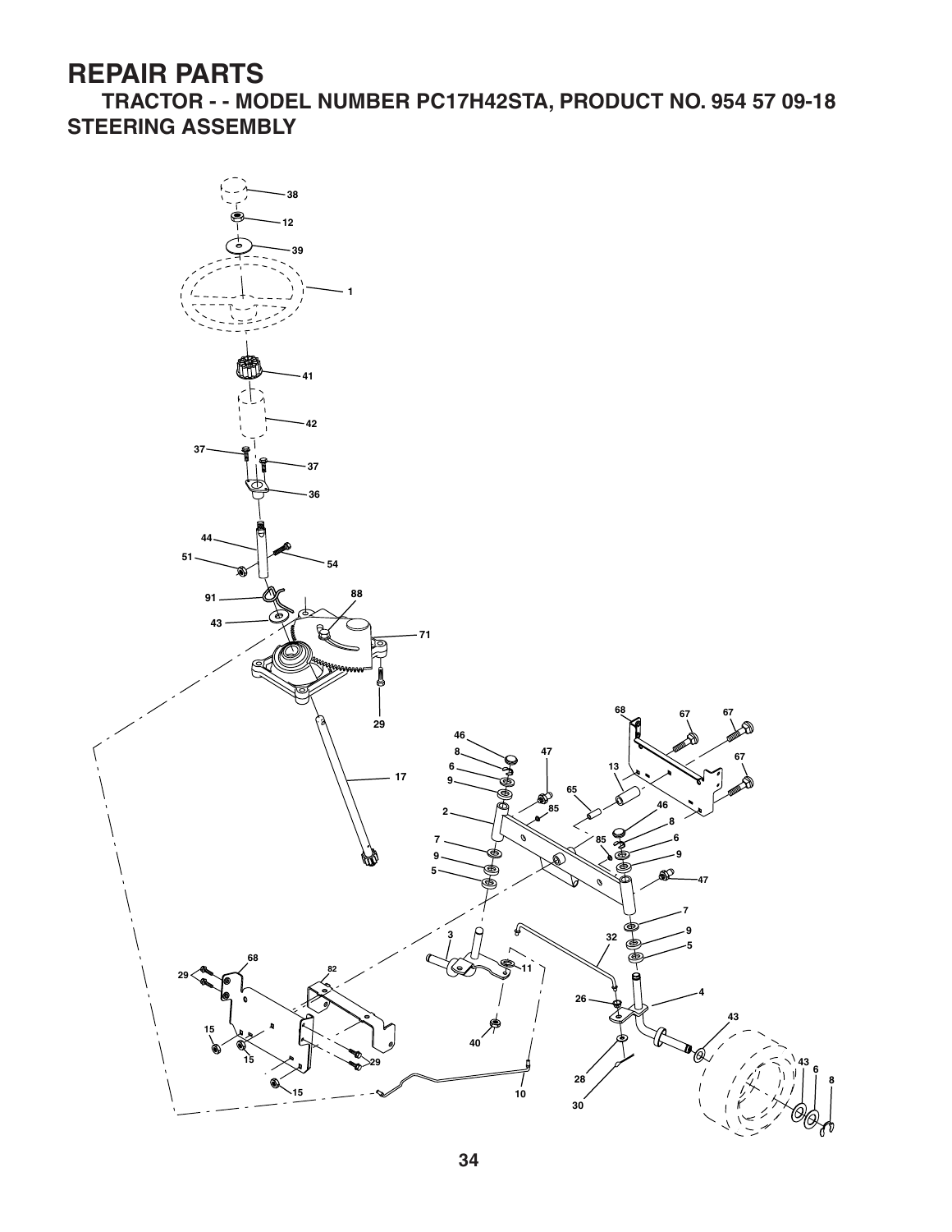**TRACTOR - - MODEL NUMBER PC17H42STA, PRODUCT NO. 954 57 09-18 STEERING ASSEMBLY**

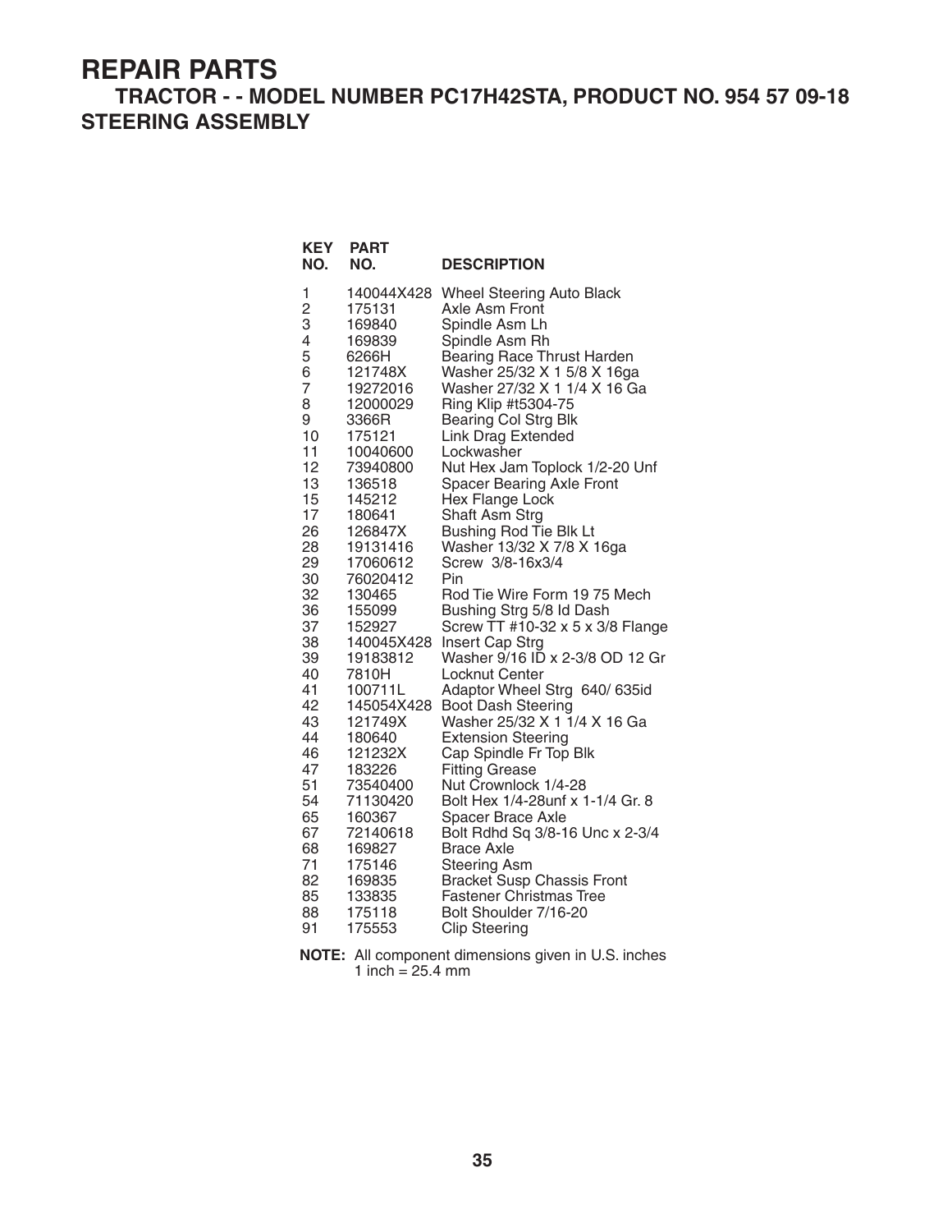#### **TRACTOR - - MODEL NUMBER PC17H42STA, PRODUCT NO. 954 57 09-18 STEERING ASSEMBLY**

| <b>KEY</b><br>NO. | <b>PART</b><br>NO. | <b>DESCRIPTION</b>                |
|-------------------|--------------------|-----------------------------------|
| 1                 | 140044X428         | <b>Wheel Steering Auto Black</b>  |
| $\overline{c}$    | 175131             | Axle Asm Front                    |
| 3                 | 169840             | Spindle Asm Lh                    |
| 4                 | 169839             | Spindle Asm Rh                    |
| 5                 | 6266H              | Bearing Race Thrust Harden        |
| 6                 | 121748X            | Washer 25/32 X 1 5/8 X 16ga       |
| $\overline{7}$    | 19272016           | Washer 27/32 X 1 1/4 X 16 Ga      |
| 8                 | 12000029           | Ring Klip #t5304-75               |
| 9                 | 3366R              | <b>Bearing Col Strg Blk</b>       |
| 10                | 175121             | Link Drag Extended                |
| 11                | 10040600           | Lockwasher                        |
| 12                | 73940800           | Nut Hex Jam Toplock 1/2-20 Unf    |
| 13                | 136518             | <b>Spacer Bearing Axle Front</b>  |
| 15                | 145212             | Hex Flange Lock                   |
| 17                | 180641             | Shaft Asm Strg                    |
| 26                | 126847X            | <b>Bushing Rod Tie Blk Lt</b>     |
| 28                | 19131416           | Washer 13/32 X 7/8 X 16ga         |
| 29                | 17060612           | Screw 3/8-16x3/4                  |
| 30                | 76020412           | Pin                               |
| 32                | 130465             | Rod Tie Wire Form 19 75 Mech      |
| 36                | 155099             | Bushing Strg 5/8 Id Dash          |
| 37                | 152927             | Screw TT #10-32 x 5 x 3/8 Flange  |
| 38                | 140045X428         | Insert Cap Strg                   |
| 39                | 19183812           | Washer 9/16 ID x 2-3/8 OD 12 Gr   |
| 40                | 7810H              | Locknut Center                    |
| 41                | 100711L            | Adaptor Wheel Strg 640/635id      |
| 42                | 145054X428         | <b>Boot Dash Steering</b>         |
| 43                | 121749X            | Washer 25/32 X 1 1/4 X 16 Ga      |
| 44                | 180640             | <b>Extension Steering</b>         |
| 46                | 121232X            | Cap Spindle Fr Top Blk            |
| 47                | 183226             | <b>Fitting Grease</b>             |
| 51                | 73540400           | Nut Crownlock 1/4-28              |
| 54                | 71130420           | Bolt Hex 1/4-28unf x 1-1/4 Gr. 8  |
| 65                | 160367             | Spacer Brace Axle                 |
| 67                | 72140618           | Bolt Rdhd Sq 3/8-16 Unc x 2-3/4   |
| 68                | 169827             | <b>Brace Axle</b>                 |
| 71                | 175146             | <b>Steering Asm</b>               |
| 82                | 169835             | <b>Bracket Susp Chassis Front</b> |
| 85                | 133835             | <b>Fastener Christmas Tree</b>    |
| 88                | 175118             | Bolt Shoulder 7/16-20             |
| 91                | 175553             | <b>Clip Steering</b>              |

**NOTE:** All component dimensions given in U.S. inches 1 inch  $= 25.4$  mm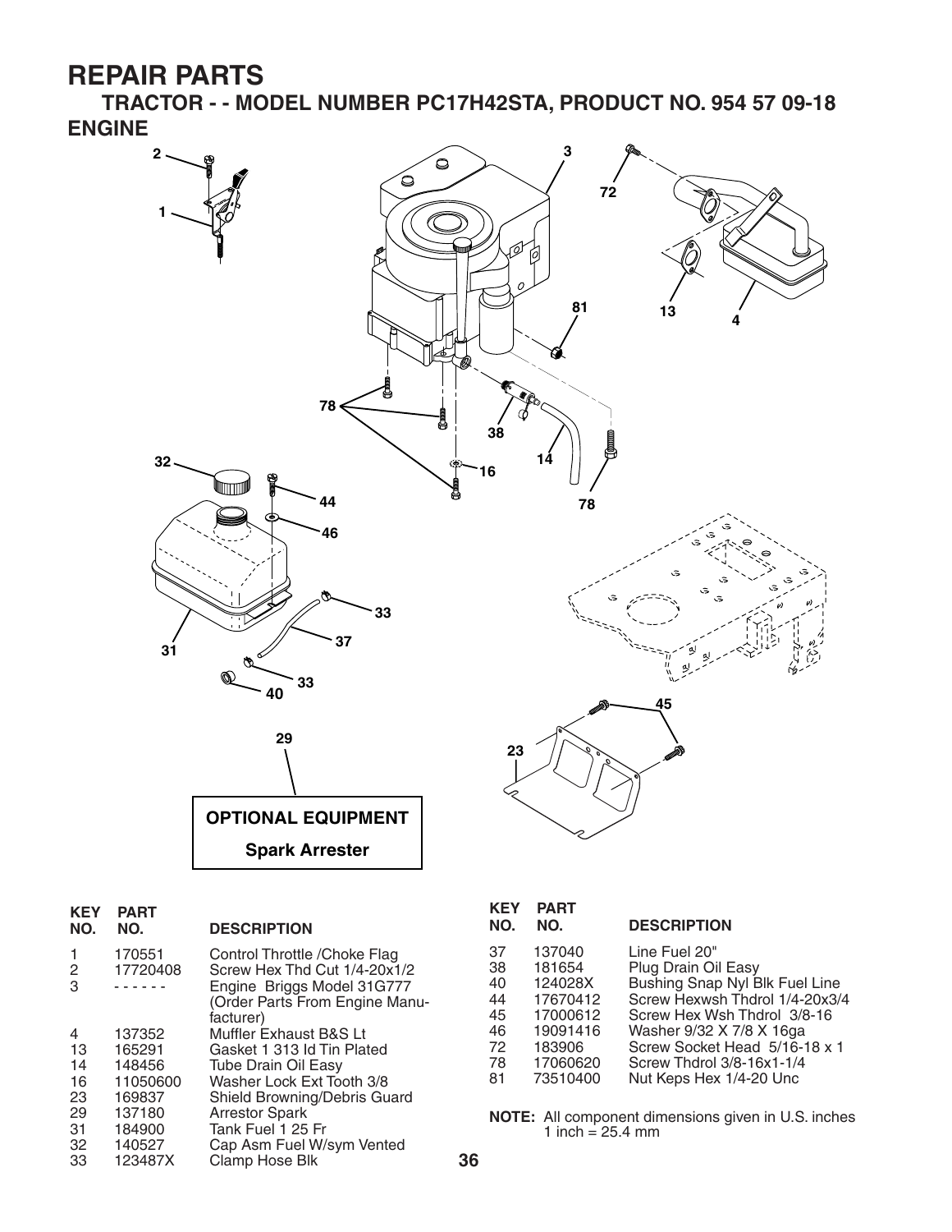**TRACTOR - - MODEL NUMBER PC17H42STA, PRODUCT NO. 954 57 09-18 ENGINE**



| <b>KEY</b><br>NO. | <b>PART</b><br>NO. | <b>DESCRIPTION</b>                                                                          |
|-------------------|--------------------|---------------------------------------------------------------------------------------------|
| 1<br>2<br>3       | 170551<br>17720408 | Control Throttle / Choke Flag<br>Screw Hex Thd Cut 1/4-20x1/2<br>Engine Briggs Model 31G777 |
|                   |                    | (Order Parts From Engine Manu-<br>facturer)                                                 |
| 4                 | 137352             | Muffler Exhaust B&S Lt                                                                      |
| 13                | 165291             | Gasket 1 313 Id Tin Plated                                                                  |
| 14                | 148456             | <b>Tube Drain Oil Easy</b>                                                                  |
| 16                | 11050600           | Washer Lock Ext Tooth 3/8                                                                   |
| 23                | 169837             | Shield Browning/Debris Guard                                                                |
| 29                | 137180             | <b>Arrestor Spark</b>                                                                       |
| 31                | 184900             | Tank Fuel 1 25 Fr                                                                           |
| 32                | 140527             | Cap Asm Fuel W/sym Vented                                                                   |
| 33                | 123487X            | Clamp Hose Blk                                                                              |
|                   |                    |                                                                                             |

| <b>KEY</b><br>NO. | <b>PART</b><br>NO. | <b>DESCRIPTION</b>             |
|-------------------|--------------------|--------------------------------|
| 37                | 137040             | Line Fuel 20"                  |
| 38                | 181654             | Plug Drain Oil Easy            |
| 40                | 124028X            | Bushing Snap Nyl Blk Fuel Line |
| 44                | 17670412           | Screw Hexwsh Thdrol 1/4-20x3/4 |
| 45                | 17000612           | Screw Hex Wsh Thdrol 3/8-16    |
| 46                | 19091416           | Washer 9/32 X 7/8 X 16ga       |
| 72                | 183906             | Screw Socket Head 5/16-18 x 1  |
| 78                | 17060620           | Screw Thdrol 3/8-16x1-1/4      |
| 81                | 73510400           | Nut Keps Hex 1/4-20 Unc        |

**NOTE:** All component dimensions given in U.S. inches 1 inch =  $25.4 \, \text{mm}$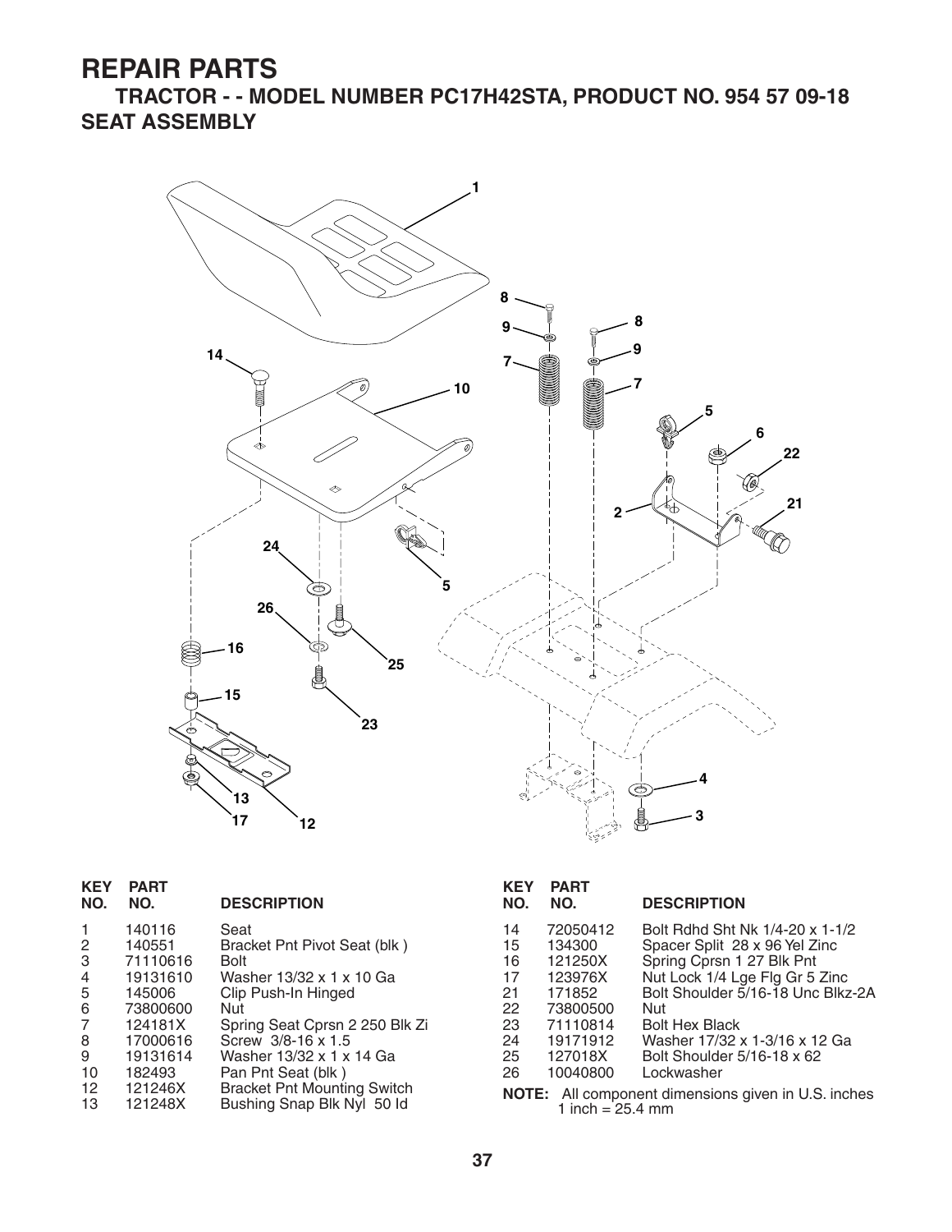**TRACTOR - - MODEL NUMBER PC17H42STA, PRODUCT NO. 954 57 09-18 SEAT ASSEMBLY**



| <b>KEY</b><br>NO.     | <b>PART</b><br>NO. | <b>DESCRIPTION</b>                                               | <b>KEY</b><br>NO. | <b>PART</b><br>NO.         | <b>DESCRIPTION</b>                                         |
|-----------------------|--------------------|------------------------------------------------------------------|-------------------|----------------------------|------------------------------------------------------------|
| 1                     | 140116             | Seat                                                             | 14                | 72050412                   | Bolt Rdhd Sht Nk 1/4-20 x 1-1/2                            |
| 2                     | 140551             | Bracket Pnt Pivot Seat (blk)                                     | 15                | 134300                     | Spacer Split 28 x 96 Yel Zinc                              |
| 3                     | 71110616           | <b>Bolt</b>                                                      | 16                | 121250X                    | Spring Cprsn 1 27 Blk Pnt                                  |
| 4                     | 19131610           | Washer 13/32 x 1 x 10 Ga                                         | 17                | 123976X                    | Nut Lock 1/4 Lge Flg Gr 5 Zinc                             |
| 5                     | 145006             | Clip Push-In Hinged                                              | 21                | 171852                     | Bolt Shoulder 5/16-18 Unc Blkz-2A                          |
| 6                     | 73800600           | Nut                                                              | 22                | 73800500                   | <b>Nut</b>                                                 |
| $\overline{7}$        | 124181X            | Spring Seat Cprsn 2 250 Blk Zi                                   | 23                | 71110814                   | <b>Bolt Hex Black</b>                                      |
| 8                     | 17000616           | Screw 3/8-16 x 1.5                                               | 24                | 19171912                   | Washer 17/32 x 1-3/16 x 12 Ga                              |
| 9                     | 19131614           | Washer 13/32 x 1 x 14 Ga                                         | 25                | 127018X                    | Bolt Shoulder 5/16-18 x 62                                 |
| 10                    | 182493             | Pan Pnt Seat (blk)                                               | 26                | 10040800                   | Lockwasher                                                 |
| 12 <sup>2</sup><br>13 | 121246X<br>121248X | <b>Bracket Pnt Mounting Switch</b><br>Bushing Snap Blk Nyl 50 ld |                   | 1 inch = $25.4 \text{ mm}$ | <b>NOTE:</b> All component dimensions given in U.S. inches |

| <b>KEY</b><br>NO.                                                         | PART<br>NO.                                                                                                   | <b>DESCRIPTION</b>                                                                                                                                                                                                                                                                |  |
|---------------------------------------------------------------------------|---------------------------------------------------------------------------------------------------------------|-----------------------------------------------------------------------------------------------------------------------------------------------------------------------------------------------------------------------------------------------------------------------------------|--|
| 14<br>15<br>16<br>17<br>21<br>22<br>23<br>24<br>25<br>26                  | 72050412<br>134300<br>121250X<br>123976X<br>171852<br>73800500<br>71110814<br>19171912<br>127018X<br>10040800 | Bolt Rdhd Sht Nk 1/4-20 x 1-1/2<br>Spacer Split 28 x 96 Yel Zinc<br>Spring Cprsn 1 27 Blk Pnt<br>Nut Lock 1/4 Lge Flg Gr 5 Zinc<br>Bolt Shoulder 5/16-18 Unc Blkz-2A<br>Nut<br><b>Bolt Hex Black</b><br>Washer 17/32 x 1-3/16 x 12 Ga<br>Bolt Shoulder 5/16-18 x 62<br>Lockwasher |  |
| NOTE: All component dimensions given in U.S. inches<br>1 inch = $25.4$ mm |                                                                                                               |                                                                                                                                                                                                                                                                                   |  |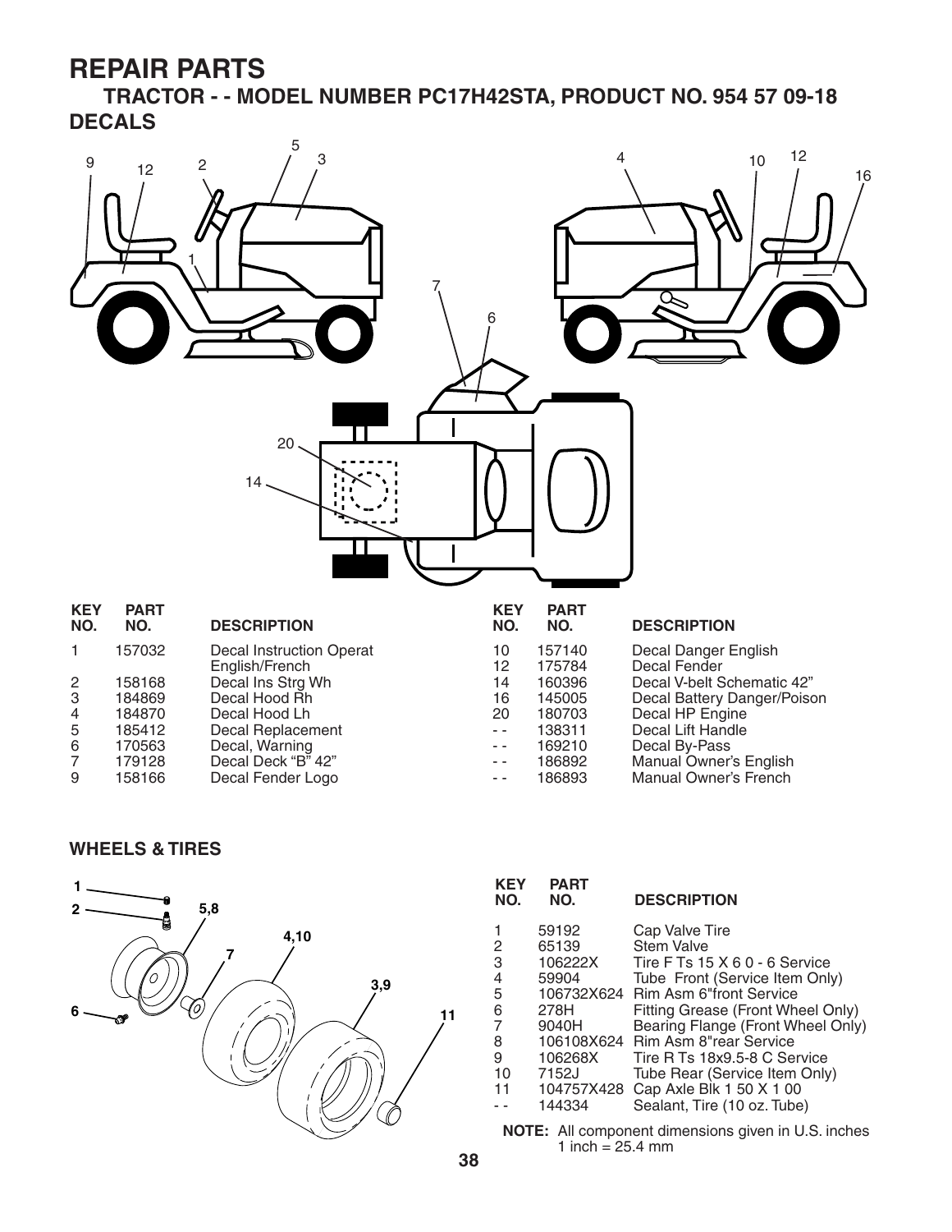**TRACTOR - - MODEL NUMBER PC17H42STA, PRODUCT NO. 954 57 09-18 DECALS**



|    | .      | ------------       |
|----|--------|--------------------|
| -5 | 185412 | Decal Replacement  |
| 6  | 170563 | Decal, Warning     |
| -7 | 179128 | Decal Deck "B" 42" |
| -9 | 158166 | Decal Fender Logo  |

| 12            | 175784 | Decal Fender              |
|---------------|--------|---------------------------|
| 14            | 160396 | Decal V-belt Schematic 42 |
| 16            | 145005 | Decal Battery Danger/Pois |
| 20            | 180703 | Decal HP Engine           |
| $\sim$ $\sim$ | 138311 | Decal Lift Handle         |
| $\sim$ $\sim$ | 169210 | Decal By-Pass             |
| $\sim$ $\sim$ | 186892 | Manual Owner's English    |
| $\sim$ $\sim$ | 186893 | Manual Owner's French     |

#### **WHEELS & TIRES**



| <b>KEY</b><br>NO. | <b>PART</b><br>NO. | <b>DESCRIPTION</b>                                          |
|-------------------|--------------------|-------------------------------------------------------------|
|                   | 59192              | Cap Valve Tire                                              |
| 2                 | 65139              | <b>Stem Valve</b>                                           |
| 3                 | 106222X            | Tire F Ts 15 X 6 0 - 6 Service                              |
| 4                 | 59904              | Tube Front (Service Item Only)                              |
| 5                 | 106732X624         | Rim Asm 6"front Service                                     |
| 6                 | 278H               | Fitting Grease (Front Wheel Only)                           |
| 7                 | 9040H              | Bearing Flange (Front Wheel Only)                           |
| 8                 | 106108X624         | Rim Asm 8"rear Service                                      |
| 9                 | 106268X            | Tire R Ts 18x9.5-8 C Service                                |
| 10                | 7152J              | Tube Rear (Service Item Only)                               |
| 11                | 104757X428         | Cap Axle Blk 1 50 X 1 00                                    |
|                   | 144334             | Sealant, Tire (10 oz. Tube)                                 |
|                   |                    | <b>NOTE</b> . All expressed dimensions since in LLC incluse |

**NOTE:** All component dimensions given in U.S. inches 1 inch =  $25.4 \text{ mm}$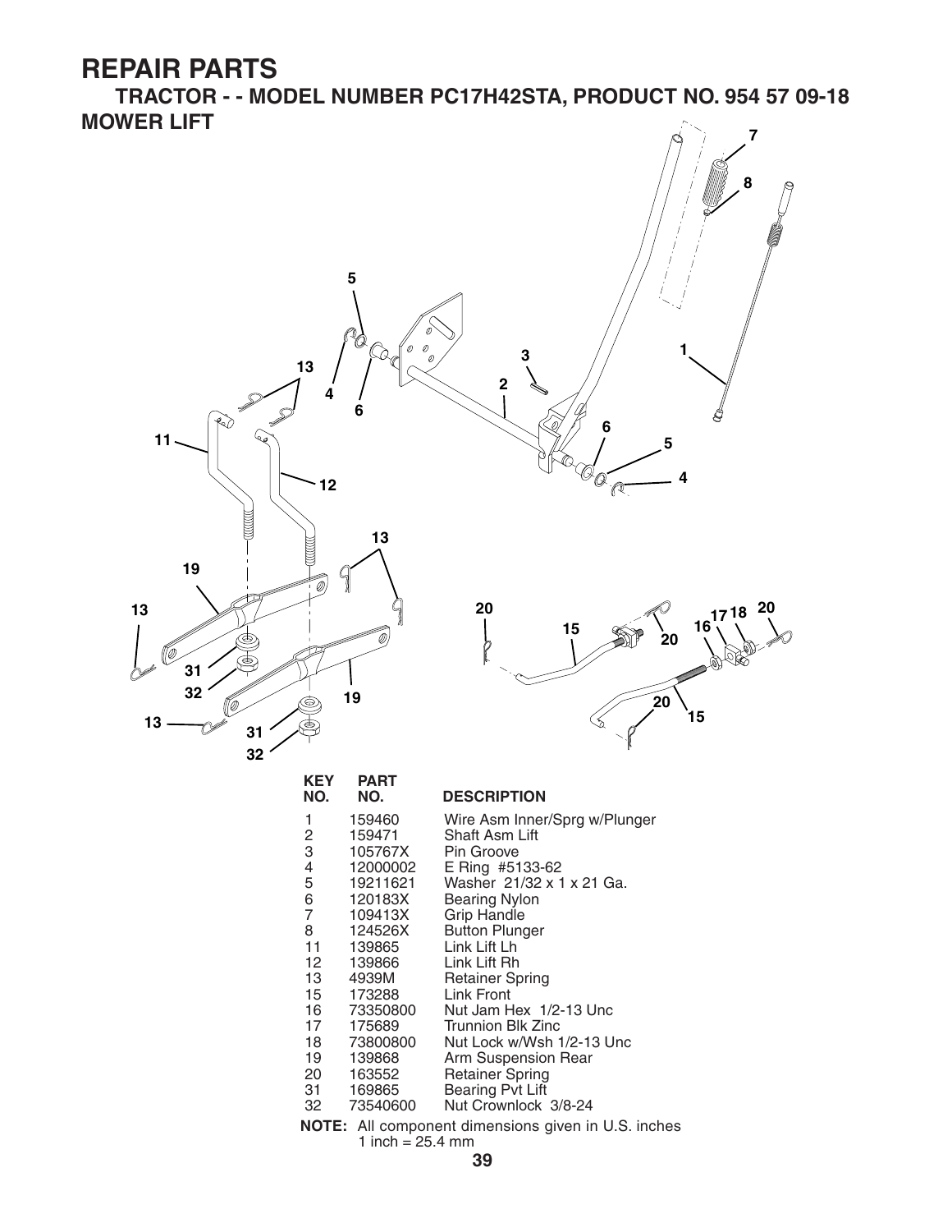**TRACTOR - - MODEL NUMBER PC17H42STA, PRODUCT NO. 954 57 09-18 MOWER LIFT 7**

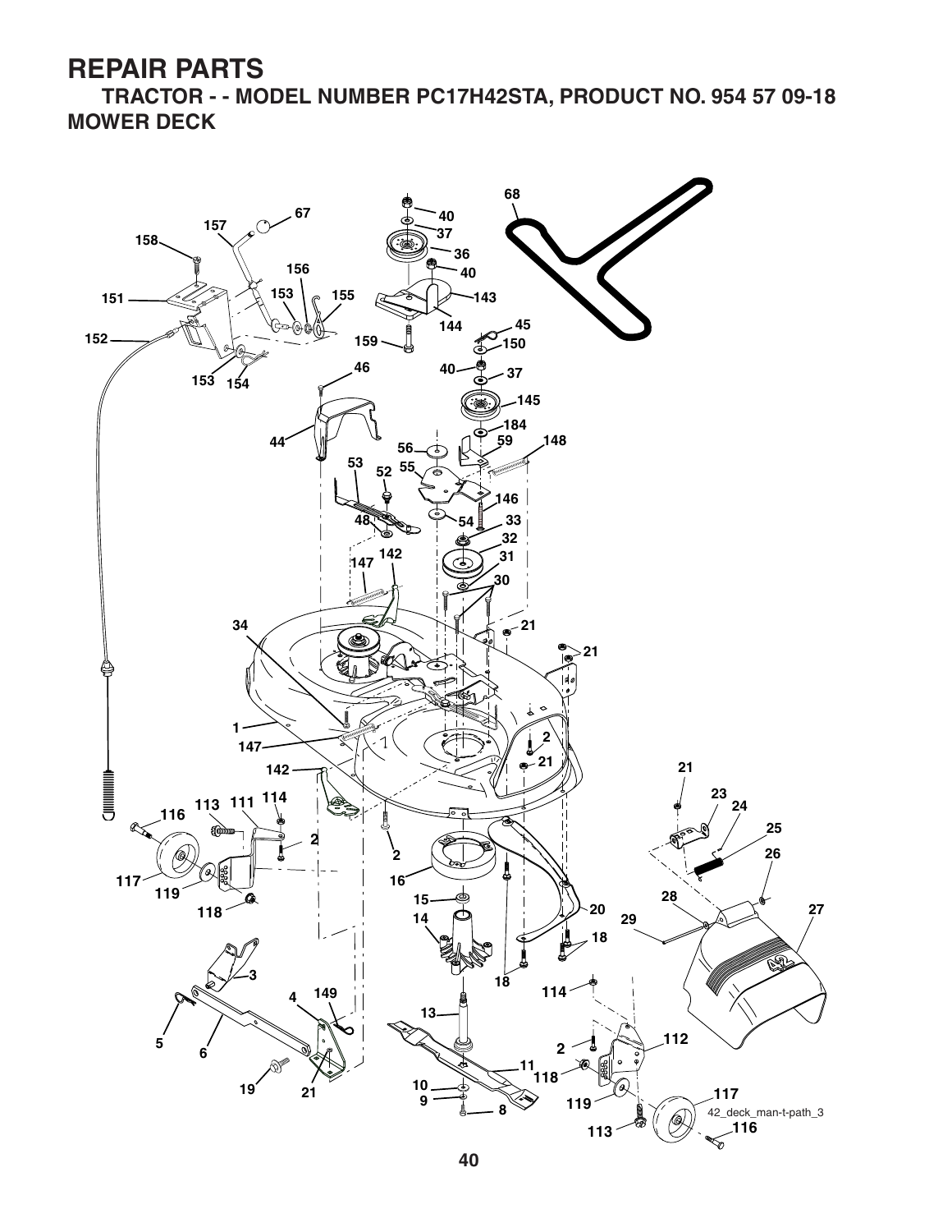**TRACTOR - - MODEL NUMBER PC17H42STA, PRODUCT NO. 954 57 09-18 MOWER DECK**